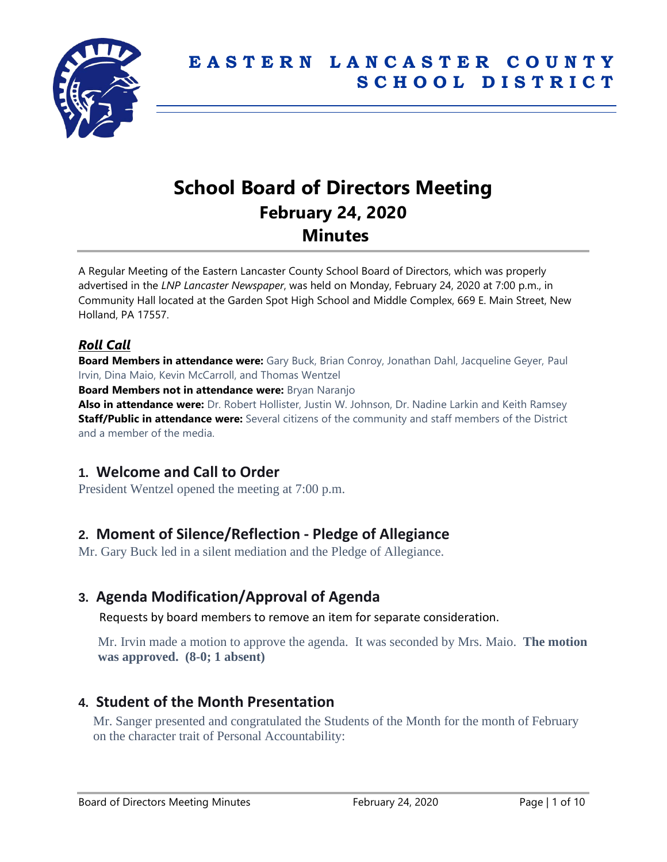

# **School Board of Directors Meeting February 24, 2020 Minutes**

A Regular Meeting of the Eastern Lancaster County School Board of Directors, which was properly advertised in the *LNP Lancaster Newspaper*, was held on Monday, February 24, 2020 at 7:00 p.m., in Community Hall located at the Garden Spot High School and Middle Complex, 669 E. Main Street, New Holland, PA 17557.

### *Roll Call*

**Board Members in attendance were:** Gary Buck, Brian Conroy, Jonathan Dahl, Jacqueline Geyer, Paul Irvin, Dina Maio, Kevin McCarroll, and Thomas Wentzel

**Board Members not in attendance were:** Bryan Naranjo

**Also in attendance were:** Dr. Robert Hollister, Justin W. Johnson, Dr. Nadine Larkin and Keith Ramsey **Staff/Public in attendance were:** Several citizens of the community and staff members of the District and a member of the media.

# **1. Welcome and Call to Order**

President Wentzel opened the meeting at 7:00 p.m.

# **2. Moment of Silence/Reflection - Pledge of Allegiance**

Mr. Gary Buck led in a silent mediation and the Pledge of Allegiance.

# **3. Agenda Modification/Approval of Agenda**

Requests by board members to remove an item for separate consideration.

Mr. Irvin made a motion to approve the agenda. It was seconded by Mrs. Maio. **The motion was approved. (8-0; 1 absent)**

### **4. Student of the Month Presentation**

Mr. Sanger presented and congratulated the Students of the Month for the month of February on the character trait of Personal Accountability: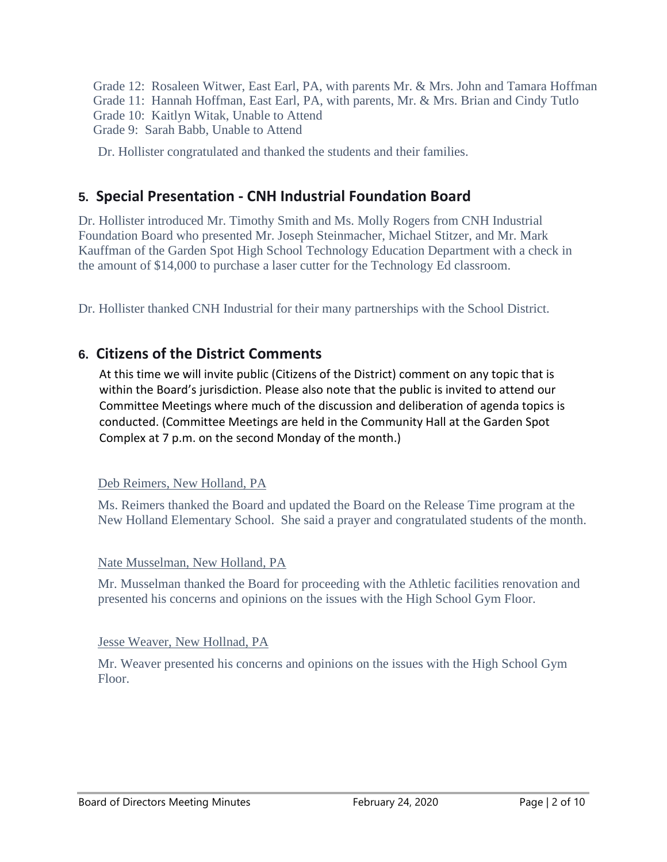Grade 12: Rosaleen Witwer, East Earl, PA, with parents Mr. & Mrs. John and Tamara Hoffman Grade 11: Hannah Hoffman, East Earl, PA, with parents, Mr. & Mrs. Brian and Cindy Tutlo Grade 10: Kaitlyn Witak, Unable to Attend Grade 9: Sarah Babb, Unable to Attend

Dr. Hollister congratulated and thanked the students and their families.

# **5. Special Presentation - CNH Industrial Foundation Board**

Dr. Hollister introduced Mr. Timothy Smith and Ms. Molly Rogers from CNH Industrial Foundation Board who presented Mr. Joseph Steinmacher, Michael Stitzer, and Mr. Mark Kauffman of the Garden Spot High School Technology Education Department with a check in the amount of \$14,000 to purchase a laser cutter for the Technology Ed classroom.

Dr. Hollister thanked CNH Industrial for their many partnerships with the School District.

# **6. Citizens of the District Comments**

At this time we will invite public (Citizens of the District) comment on any topic that is within the Board's jurisdiction. Please also note that the public is invited to attend our Committee Meetings where much of the discussion and deliberation of agenda topics is conducted. (Committee Meetings are held in the Community Hall at the Garden Spot Complex at 7 p.m. on the second Monday of the month.)

#### Deb Reimers, New Holland, PA

Ms. Reimers thanked the Board and updated the Board on the Release Time program at the New Holland Elementary School. She said a prayer and congratulated students of the month.

#### Nate Musselman, New Holland, PA

Mr. Musselman thanked the Board for proceeding with the Athletic facilities renovation and presented his concerns and opinions on the issues with the High School Gym Floor.

#### Jesse Weaver, New Hollnad, PA

Mr. Weaver presented his concerns and opinions on the issues with the High School Gym Floor.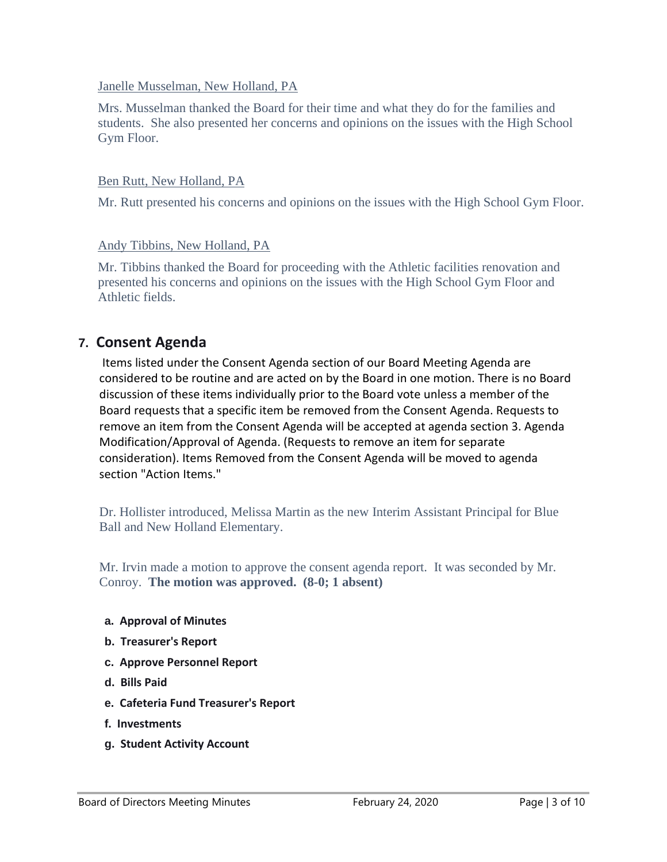#### Janelle Musselman, New Holland, PA

Mrs. Musselman thanked the Board for their time and what they do for the families and students. She also presented her concerns and opinions on the issues with the High School Gym Floor.

#### Ben Rutt, New Holland, PA

Mr. Rutt presented his concerns and opinions on the issues with the High School Gym Floor.

#### Andy Tibbins, New Holland, PA

Mr. Tibbins thanked the Board for proceeding with the Athletic facilities renovation and presented his concerns and opinions on the issues with the High School Gym Floor and Athletic fields.

### **7. Consent Agenda**

Items listed under the Consent Agenda section of our Board Meeting Agenda are considered to be routine and are acted on by the Board in one motion. There is no Board discussion of these items individually prior to the Board vote unless a member of the Board requests that a specific item be removed from the Consent Agenda. Requests to remove an item from the Consent Agenda will be accepted at agenda section 3. Agenda Modification/Approval of Agenda. (Requests to remove an item for separate consideration). Items Removed from the Consent Agenda will be moved to agenda section "Action Items."

Dr. Hollister introduced, Melissa Martin as the new Interim Assistant Principal for Blue Ball and New Holland Elementary.

Mr. Irvin made a motion to approve the consent agenda report. It was seconded by Mr. Conroy. **The motion was approved. (8-0; 1 absent)**

- **a. Approval of Minutes**
- **b. Treasurer's Report**
- **c. Approve Personnel Report**
- **d. Bills Paid**
- **e. Cafeteria Fund Treasurer's Report**
- **f. Investments**
- **g. Student Activity Account**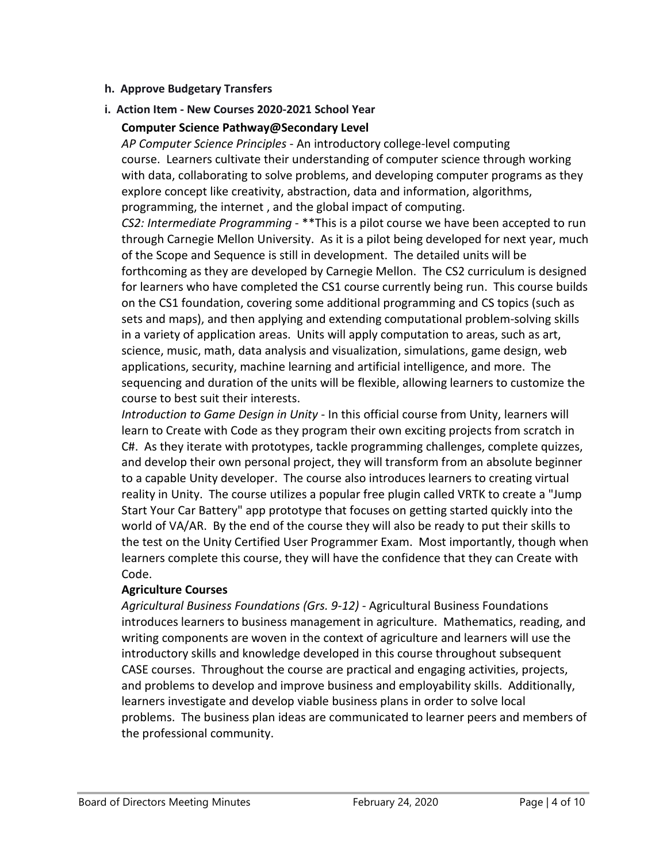#### **h. Approve Budgetary Transfers**

#### **i. Action Item - New Courses 2020-2021 School Year**

#### **Computer Science Pathway@Secondary Level**

*AP Computer Science Principles* - An introductory college-level computing course. Learners cultivate their understanding of computer science through working with data, collaborating to solve problems, and developing computer programs as they explore concept like creativity, abstraction, data and information, algorithms, programming, the internet , and the global impact of computing.

*CS2: Intermediate Programming* - \*\*This is a pilot course we have been accepted to run through Carnegie Mellon University. As it is a pilot being developed for next year, much of the Scope and Sequence is still in development. The detailed units will be forthcoming as they are developed by Carnegie Mellon. The CS2 curriculum is designed for learners who have completed the CS1 course currently being run. This course builds on the CS1 foundation, covering some additional programming and CS topics (such as sets and maps), and then applying and extending computational problem-solving skills in a variety of application areas. Units will apply computation to areas, such as art, science, music, math, data analysis and visualization, simulations, game design, web applications, security, machine learning and artificial intelligence, and more. The sequencing and duration of the units will be flexible, allowing learners to customize the course to best suit their interests.

*Introduction to Game Design in Unity* - In this official course from Unity, learners will learn to Create with Code as they program their own exciting projects from scratch in C#. As they iterate with prototypes, tackle programming challenges, complete quizzes, and develop their own personal project, they will transform from an absolute beginner to a capable Unity developer. The course also introduces learners to creating virtual reality in Unity. The course utilizes a popular free plugin called VRTK to create a "Jump Start Your Car Battery" app prototype that focuses on getting started quickly into the world of VA/AR. By the end of the course they will also be ready to put their skills to the test on the Unity Certified User Programmer Exam. Most importantly, though when learners complete this course, they will have the confidence that they can Create with Code.

#### **Agriculture Courses**

*Agricultural Business Foundations (Grs. 9-12)* - Agricultural Business Foundations introduces learners to business management in agriculture. Mathematics, reading, and writing components are woven in the context of agriculture and learners will use the introductory skills and knowledge developed in this course throughout subsequent CASE courses. Throughout the course are practical and engaging activities, projects, and problems to develop and improve business and employability skills. Additionally, learners investigate and develop viable business plans in order to solve local problems. The business plan ideas are communicated to learner peers and members of the professional community.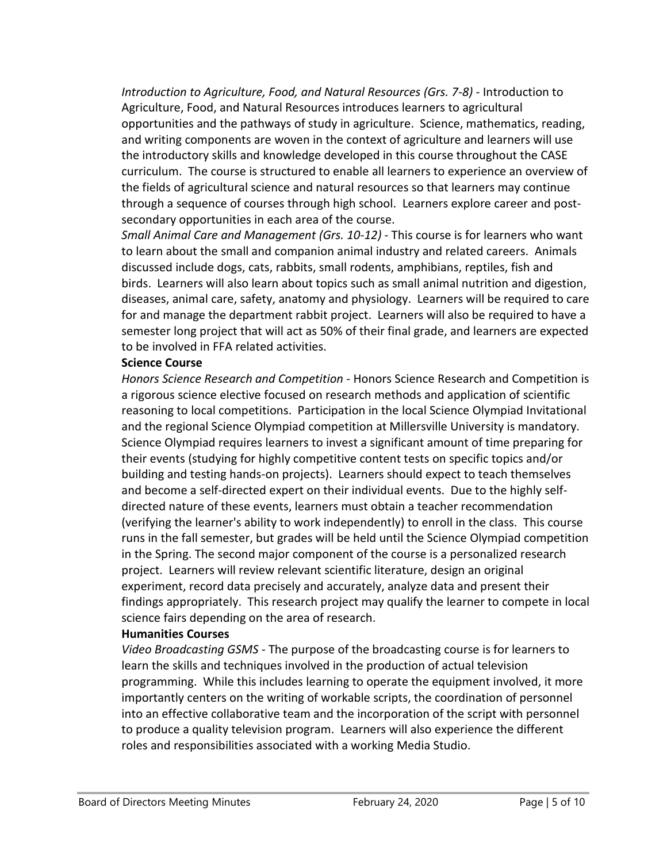*Introduction to Agriculture, Food, and Natural Resources (Grs. 7-8)* - Introduction to Agriculture, Food, and Natural Resources introduces learners to agricultural opportunities and the pathways of study in agriculture. Science, mathematics, reading, and writing components are woven in the context of agriculture and learners will use the introductory skills and knowledge developed in this course throughout the CASE curriculum. The course is structured to enable all learners to experience an overview of the fields of agricultural science and natural resources so that learners may continue through a sequence of courses through high school. Learners explore career and postsecondary opportunities in each area of the course.

*Small Animal Care and Management (Grs. 10-12)* - This course is for learners who want to learn about the small and companion animal industry and related careers. Animals discussed include dogs, cats, rabbits, small rodents, amphibians, reptiles, fish and birds. Learners will also learn about topics such as small animal nutrition and digestion, diseases, animal care, safety, anatomy and physiology. Learners will be required to care for and manage the department rabbit project. Learners will also be required to have a semester long project that will act as 50% of their final grade, and learners are expected to be involved in FFA related activities.

#### **Science Course**

*Honors Science Research and Competition* - Honors Science Research and Competition is a rigorous science elective focused on research methods and application of scientific reasoning to local competitions. Participation in the local Science Olympiad Invitational and the regional Science Olympiad competition at Millersville University is mandatory. Science Olympiad requires learners to invest a significant amount of time preparing for their events (studying for highly competitive content tests on specific topics and/or building and testing hands-on projects). Learners should expect to teach themselves and become a self-directed expert on their individual events. Due to the highly selfdirected nature of these events, learners must obtain a teacher recommendation (verifying the learner's ability to work independently) to enroll in the class. This course runs in the fall semester, but grades will be held until the Science Olympiad competition in the Spring. The second major component of the course is a personalized research project. Learners will review relevant scientific literature, design an original experiment, record data precisely and accurately, analyze data and present their findings appropriately. This research project may qualify the learner to compete in local science fairs depending on the area of research.

#### **Humanities Courses**

*Video Broadcasting GSMS* - The purpose of the broadcasting course is for learners to learn the skills and techniques involved in the production of actual television programming. While this includes learning to operate the equipment involved, it more importantly centers on the writing of workable scripts, the coordination of personnel into an effective collaborative team and the incorporation of the script with personnel to produce a quality television program. Learners will also experience the different roles and responsibilities associated with a working Media Studio.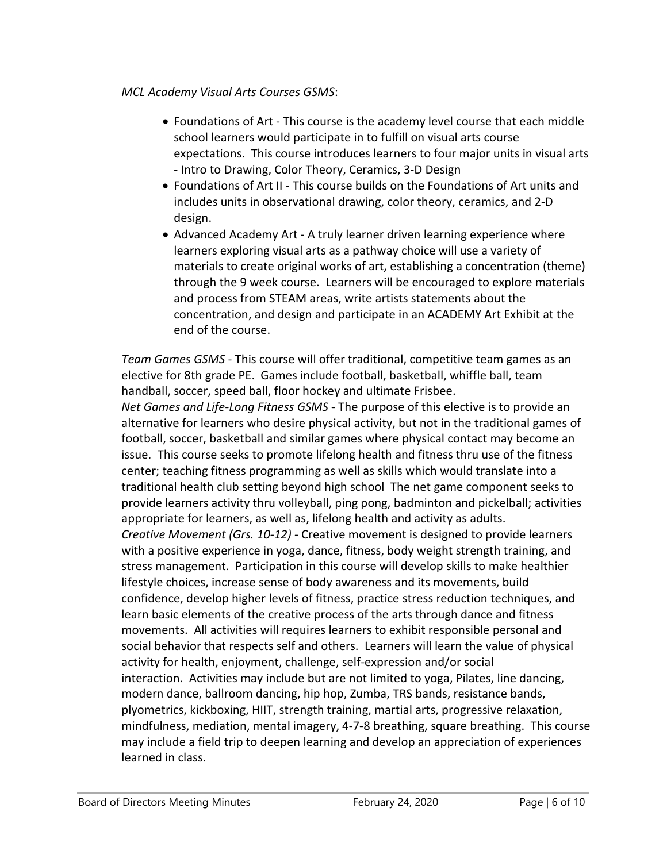#### *MCL Academy Visual Arts Courses GSMS*:

- Foundations of Art This course is the academy level course that each middle school learners would participate in to fulfill on visual arts course expectations. This course introduces learners to four major units in visual arts - Intro to Drawing, Color Theory, Ceramics, 3-D Design
- Foundations of Art II This course builds on the Foundations of Art units and includes units in observational drawing, color theory, ceramics, and 2-D design.
- Advanced Academy Art A truly learner driven learning experience where learners exploring visual arts as a pathway choice will use a variety of materials to create original works of art, establishing a concentration (theme) through the 9 week course. Learners will be encouraged to explore materials and process from STEAM areas, write artists statements about the concentration, and design and participate in an ACADEMY Art Exhibit at the end of the course.

*Team Games GSMS* - This course will offer traditional, competitive team games as an elective for 8th grade PE. Games include football, basketball, whiffle ball, team handball, soccer, speed ball, floor hockey and ultimate Frisbee.

*Net Games and Life-Long Fitness GSMS* - The purpose of this elective is to provide an alternative for learners who desire physical activity, but not in the traditional games of football, soccer, basketball and similar games where physical contact may become an issue. This course seeks to promote lifelong health and fitness thru use of the fitness center; teaching fitness programming as well as skills which would translate into a traditional health club setting beyond high school The net game component seeks to provide learners activity thru volleyball, ping pong, badminton and pickelball; activities appropriate for learners, as well as, lifelong health and activity as adults. *Creative Movement (Grs. 10-12)* - Creative movement is designed to provide learners with a positive experience in yoga, dance, fitness, body weight strength training, and stress management. Participation in this course will develop skills to make healthier lifestyle choices, increase sense of body awareness and its movements, build confidence, develop higher levels of fitness, practice stress reduction techniques, and learn basic elements of the creative process of the arts through dance and fitness movements. All activities will requires learners to exhibit responsible personal and social behavior that respects self and others. Learners will learn the value of physical activity for health, enjoyment, challenge, self-expression and/or social interaction. Activities may include but are not limited to yoga, Pilates, line dancing, modern dance, ballroom dancing, hip hop, Zumba, TRS bands, resistance bands, plyometrics, kickboxing, HIIT, strength training, martial arts, progressive relaxation, mindfulness, mediation, mental imagery, 4-7-8 breathing, square breathing. This course may include a field trip to deepen learning and develop an appreciation of experiences learned in class.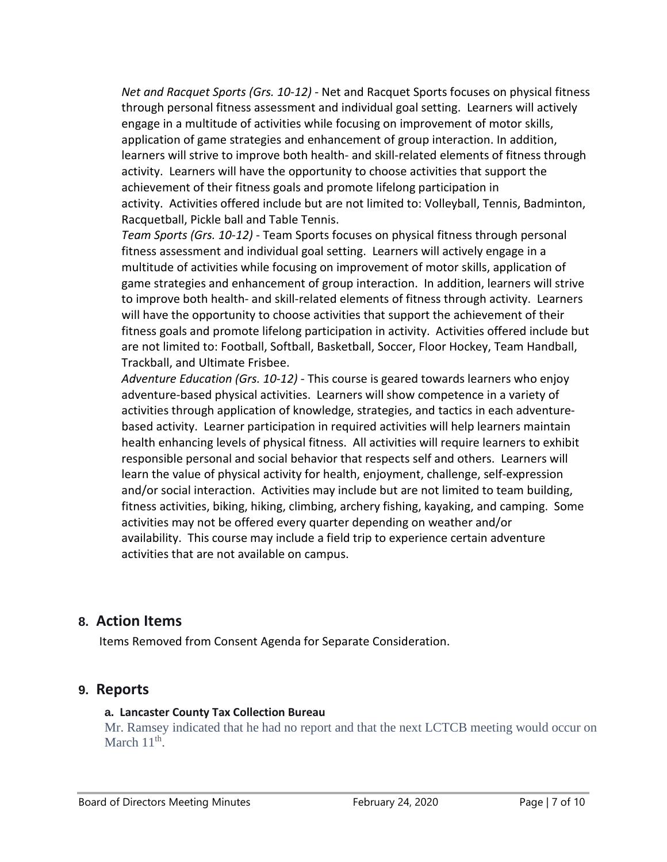*Net and Racquet Sports (Grs. 10-12)* - Net and Racquet Sports focuses on physical fitness through personal fitness assessment and individual goal setting. Learners will actively engage in a multitude of activities while focusing on improvement of motor skills, application of game strategies and enhancement of group interaction. In addition, learners will strive to improve both health- and skill-related elements of fitness through activity. Learners will have the opportunity to choose activities that support the achievement of their fitness goals and promote lifelong participation in activity. Activities offered include but are not limited to: Volleyball, Tennis, Badminton, Racquetball, Pickle ball and Table Tennis.

*Team Sports (Grs. 10-12)* - Team Sports focuses on physical fitness through personal fitness assessment and individual goal setting. Learners will actively engage in a multitude of activities while focusing on improvement of motor skills, application of game strategies and enhancement of group interaction. In addition, learners will strive to improve both health- and skill-related elements of fitness through activity. Learners will have the opportunity to choose activities that support the achievement of their fitness goals and promote lifelong participation in activity. Activities offered include but are not limited to: Football, Softball, Basketball, Soccer, Floor Hockey, Team Handball, Trackball, and Ultimate Frisbee.

*Adventure Education (Grs. 10-12)* - This course is geared towards learners who enjoy adventure-based physical activities. Learners will show competence in a variety of activities through application of knowledge, strategies, and tactics in each adventurebased activity. Learner participation in required activities will help learners maintain health enhancing levels of physical fitness. All activities will require learners to exhibit responsible personal and social behavior that respects self and others. Learners will learn the value of physical activity for health, enjoyment, challenge, self-expression and/or social interaction. Activities may include but are not limited to team building, fitness activities, biking, hiking, climbing, archery fishing, kayaking, and camping. Some activities may not be offered every quarter depending on weather and/or availability. This course may include a field trip to experience certain adventure activities that are not available on campus.

### **8. Action Items**

Items Removed from Consent Agenda for Separate Consideration.

### **9. Reports**

#### **a. Lancaster County Tax Collection Bureau**

Mr. Ramsey indicated that he had no report and that the next LCTCB meeting would occur on March  $11<sup>th</sup>$ .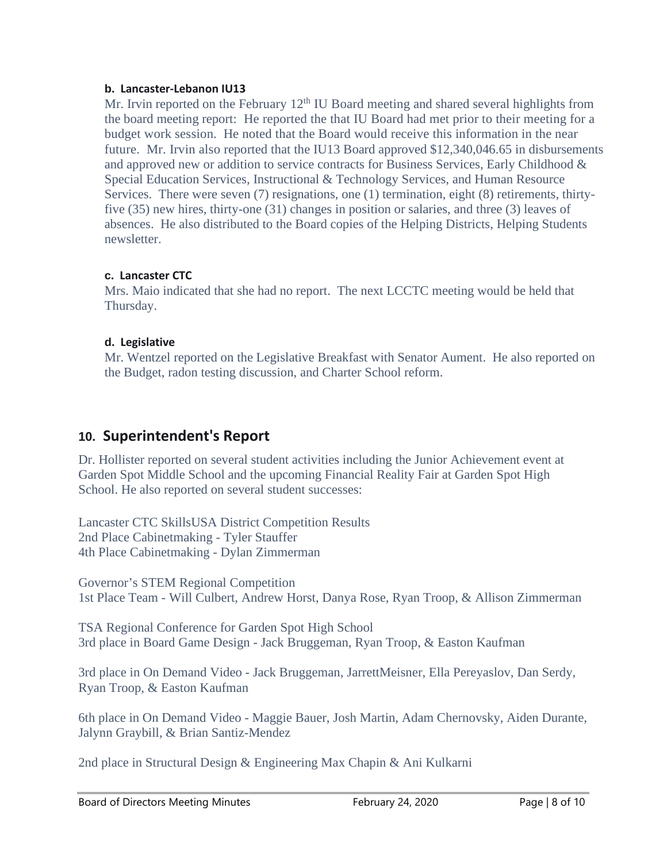#### **b. Lancaster-Lebanon IU13**

Mr. Irvin reported on the February  $12<sup>th</sup>$  IU Board meeting and shared several highlights from the board meeting report: He reported the that IU Board had met prior to their meeting for a budget work session. He noted that the Board would receive this information in the near future. Mr. Irvin also reported that the IU13 Board approved \$12,340,046.65 in disbursements and approved new or addition to service contracts for Business Services, Early Childhood & Special Education Services, Instructional & Technology Services, and Human Resource Services. There were seven (7) resignations, one (1) termination, eight (8) retirements, thirtyfive (35) new hires, thirty-one (31) changes in position or salaries, and three (3) leaves of absences. He also distributed to the Board copies of the Helping Districts, Helping Students newsletter.

#### **c. Lancaster CTC**

Mrs. Maio indicated that she had no report. The next LCCTC meeting would be held that Thursday.

#### **d. Legislative**

Mr. Wentzel reported on the Legislative Breakfast with Senator Aument. He also reported on the Budget, radon testing discussion, and Charter School reform.

# **10. Superintendent's Report**

Dr. Hollister reported on several student activities including the Junior Achievement event at Garden Spot Middle School and the upcoming Financial Reality Fair at Garden Spot High School. He also reported on several student successes:

Lancaster CTC SkillsUSA District Competition Results 2nd Place Cabinetmaking - Tyler Stauffer 4th Place Cabinetmaking - Dylan Zimmerman

Governor's STEM Regional Competition 1st Place Team - Will Culbert, Andrew Horst, Danya Rose, Ryan Troop, & Allison Zimmerman

TSA Regional Conference for Garden Spot High School 3rd place in Board Game Design - Jack Bruggeman, Ryan Troop, & Easton Kaufman

3rd place in On Demand Video - Jack Bruggeman, JarrettMeisner, Ella Pereyaslov, Dan Serdy, Ryan Troop, & Easton Kaufman

6th place in On Demand Video - Maggie Bauer, Josh Martin, Adam Chernovsky, Aiden Durante, Jalynn Graybill, & Brian Santiz-Mendez

2nd place in Structural Design & Engineering Max Chapin & Ani Kulkarni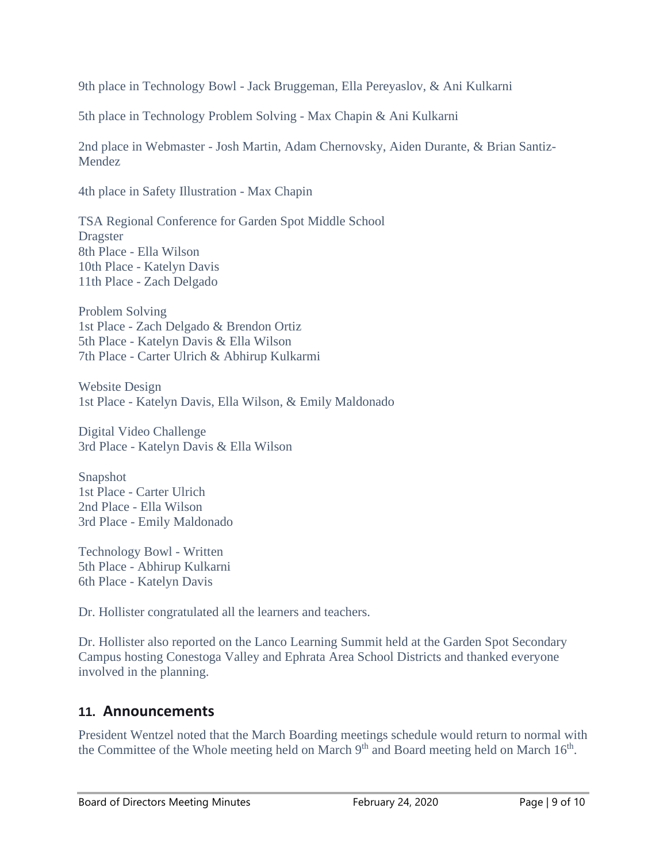9th place in Technology Bowl - Jack Bruggeman, Ella Pereyaslov, & Ani Kulkarni

5th place in Technology Problem Solving - Max Chapin & Ani Kulkarni

2nd place in Webmaster - Josh Martin, Adam Chernovsky, Aiden Durante, & Brian Santiz-Mendez

4th place in Safety Illustration - Max Chapin

TSA Regional Conference for Garden Spot Middle School Dragster 8th Place - Ella Wilson 10th Place - Katelyn Davis 11th Place - Zach Delgado

Problem Solving 1st Place - Zach Delgado & Brendon Ortiz 5th Place - Katelyn Davis & Ella Wilson 7th Place - Carter Ulrich & Abhirup Kulkarmi

Website Design 1st Place - Katelyn Davis, Ella Wilson, & Emily Maldonado

Digital Video Challenge 3rd Place - Katelyn Davis & Ella Wilson

**Snapshot** 1st Place - Carter Ulrich 2nd Place - Ella Wilson 3rd Place - Emily Maldonado

Technology Bowl - Written 5th Place - Abhirup Kulkarni 6th Place - Katelyn Davis

Dr. Hollister congratulated all the learners and teachers.

Dr. Hollister also reported on the Lanco Learning Summit held at the Garden Spot Secondary Campus hosting Conestoga Valley and Ephrata Area School Districts and thanked everyone involved in the planning.

### **11. Announcements**

President Wentzel noted that the March Boarding meetings schedule would return to normal with the Committee of the Whole meeting held on March 9<sup>th</sup> and Board meeting held on March 16<sup>th</sup>.